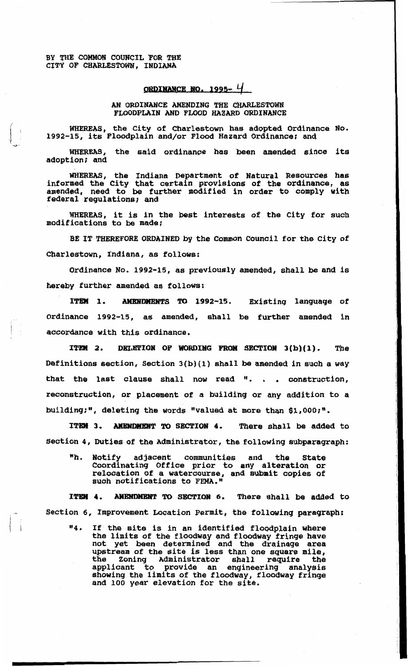BY THE COMMON COUNCIL FOR THE CITY OF CHARLESTOWN, INDIANA

## ORDINANCE NO. 1995- $4$

## AN ORDINANCE AMENDING THE CHARLESTOWN FLOODPLAIN AND FLOOD HAZARD ORDINANCE

WHEREAS, the City of Charlestown has adopted Ordinance No. 1992-15, its Floodplain and/or Flood Hazard Ordinance; and

the said ordinance has been amended since its WHEREAS. adoption; and

WHEREAS, the Indiana Department of Natural Resources has informed the City that certain provisions of the ordinance, as amended, need to be further modified in order to comply with federal regulations; and

**WHEREAS** *it* **is in the best interests** *of* **the city for such modifications to be** made

**BE IT THEREFORE ORDAINED by the Common Council for the** *City* **of Charlestown, Indiana, as follows:** 

**Ordinance No. 1992-15, as previously amended, shall. be and is hereby further amended as follows:** 

item **1. Amendments To 1992-15. Existing language of Ordinance 1992-15, as amended, shall be further amended in accordance with** *this* **ordinance,** 

*item 2.* **deletion of wording FROM section 3(b)(1). The Definitions section, section 3(b)(i) shall be amended in such a way that the last clause shall now read " construction** <sup>i</sup> **reconstruction, or placement of** *a* **building or any addition to a building;", deleting the words "valued at mare than \$1,000;".** 

**ITEM 3,** *Amendement to* **SECTIOn 4. There shall be added to Section** *4,* **duties of the Administrator, the following subparagraph:** 

**"h, Notify adjacent communities and the, State Coordinating Office prior to any alteration** *or*  **relocation of a watercourse, and submit copies of such notifications to FEMA."** 

**item 4,** *amendment To* **section 6, There shall be added to Section 6, Improvement Location** *Permit,* **the following paragraph:** 

**"4. If the site is in an identified floodplain where the limits** *of* **the floodway and floodway fringe have not yet been determined and the drainage area upstream of the site is less than one square mile, the Zoning Administrator shall require the applicant** *to* **provide an engineering analysis showing the limits of the floodway, floodway fringe and 100 year elevation for the site.**